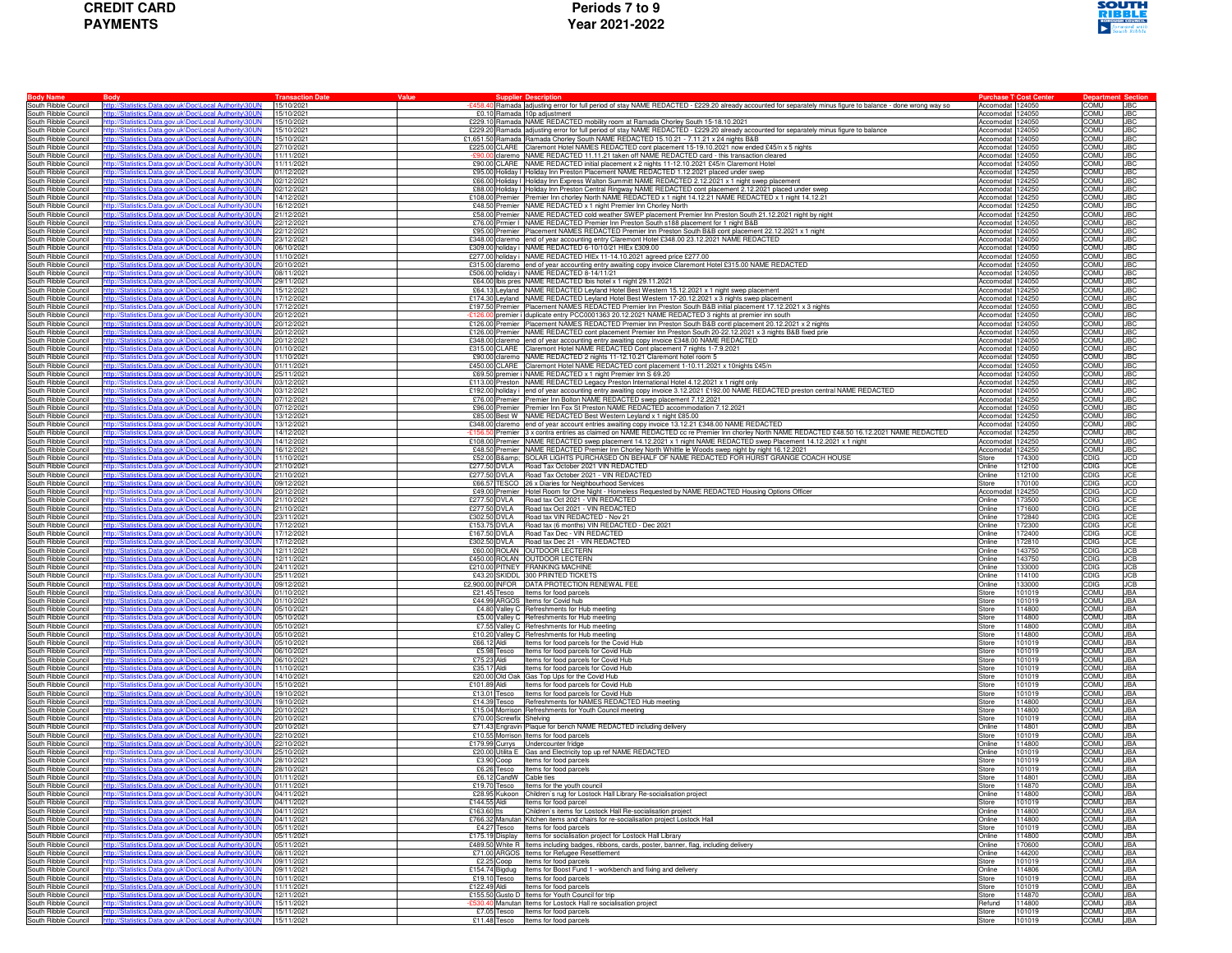

| <b>Body Name</b>                             | <b>Body</b>                                                                                                  | <b>Transaction Date</b>  | Value                    | <b>Supplier Description</b>                                                                                                                                                                                                  | <b>Purchase T: Cost Center</b>       |                  | <b>Departn</b>      | Sectior                  |
|----------------------------------------------|--------------------------------------------------------------------------------------------------------------|--------------------------|--------------------------|------------------------------------------------------------------------------------------------------------------------------------------------------------------------------------------------------------------------------|--------------------------------------|------------------|---------------------|--------------------------|
| South Ribble Council<br>South Ribble Council | tistics.Data.gov.uk\Doc\Local Authority\30UN<br>p://Statistics.Data.gov.uk\Doc\Local Authority\30UN          | 15/10/2021<br>15/10/2021 |                          | -£458.40 Ramada adjusting error for full period of stay NAME REDACTED - £229.20 already accounted for separately minus figure to balance - done wrong way so                                                                 | Accomodat 124050<br>Accomodat 124050 |                  | COMU<br>COMU        | <b>JBC</b><br><b>JBC</b> |
| South Ribble Council                         | tp://Statistics.Data.gov.uk\Doc\Local Authority\30UN                                                         | 15/10/2021               |                          | £0.10 Ramada 10p adjustment<br>£229.10 Ramada NAME REDACTED mobility room at Ramada Chorley South 15-18.10.2021                                                                                                              | Accomodat 124050                     |                  | COMU                | <b>JBC</b>               |
| South Ribble Council                         | p://Statistics.Data.gov.uk\Doc\Local Authority\30UN                                                          | 15/10/2021               |                          | £229.20 Ramada adjusting error for full period of stay NAME REDACTED - £229.20 already accounted for separately minus figure to balance                                                                                      | Accomodat 124050                     |                  | COMU                | <b>JBC</b>               |
| South Ribble Council                         | /Statistics.Data.gov.uk\Doc\Local Authority\30UN                                                             | 15/10/2021               |                          | £1,651.50 Ramada Ramada Chorley South NAME REDACTED 15.10.21 - 7.11.21 x 24 nights B&B                                                                                                                                       | Accomodat                            | 24050            | <b>UMOC</b>         | JBC                      |
| South Ribble Council                         | istics.Data.gov.uk\Doc\Local Authority\30UN                                                                  | 27/10/2021               |                          | £225.00 CLARE Claremont Hotel NAMES REDACTED cont placement 15-19.10.2021 now ended £45/n x 5 nights                                                                                                                         | Accomodat                            | 124050           | СОМИ                | <b>JBC</b>               |
| South Ribble Council                         | p://Statistics.Data.gov.uk\Doc\Local Authority\30UN                                                          | 11/11/2021               |                          | £90.00 claremo NAME REDACTED 11.11.21 taken off NAME REDACTED card - this transaction cleared                                                                                                                                | Accomodat 124050                     |                  | COMU                | <b>JBC</b>               |
| South Ribble Council                         | ttp://Statistics.Data.gov.uk\Doc\Local Authority\30UN                                                        | 11/11/2021               |                          | £90.00 CLARE NAME REDACTED initial placement x 2 nights 11-12.10.2021 £45/n Claremont Hotel                                                                                                                                  | Accomodat 124050                     |                  | <b>COMU</b>         | JBC                      |
| South Ribble Council                         | p://Statistics.Data.gov.uk\Doc\Local Authority\30UN                                                          | 01/12/2021               |                          | £95.00 Holiday I Holiday Inn Preston Placement NAME REDACTED 1.12.2021 placed under swep                                                                                                                                     | Accomodat 124250                     |                  | COMU                | <b>JBC</b>               |
| South Ribble Council                         | tics.Data.gov.uk\Doc\Local Authority\30UN                                                                    | 02/12/2021               |                          | £66.00 Holiday I Holiday Inn Express Walton Summitt NAME REDACTED 2.12.2021 x 1 night swep placement                                                                                                                         | Accomodat                            | 124250           | <b>JMOC</b>         | JBC                      |
| South Ribble Council<br>South Ribble Council | p://Statistics.Data.gov.uk\Doc\Local Authority\30UN<br>p://Statistics.Data.gov.uk\Doc\Local Authority\30UN   | 02/12/2021<br>14/12/2021 |                          | £88.00 Holiday I Holiday Inn Preston Central Ringway NAME REDACTED cont placement 2.12.2021 placed under swep<br>£108.00 Premier Premier Inn chorley North NAME REDACTED x 1 night 14.12.21 NAME REDACTED x 1 night 14.12.21 | Accomodat 124250<br>Accomodat 124250 |                  | COMU<br>COMU        | JBC<br><b>JBC</b>        |
| South Ribble Council                         | p://Statistics.Data.gov.uk\Doc\Local Authority\30UN                                                          | 16/12/2021               |                          | £48.50 Premier NAME REDACTED x 1 night Premier Inn Chorley North                                                                                                                                                             | Accomodat 124250                     |                  | COMU                | JBC                      |
| South Ribble Council                         | p://Statistics.Data.gov.uk\Doc\Local Authority\30UN                                                          | 21/12/2021               |                          | £58.00 Premier NAME REDACTED cold weather SWEP placement Premier Inn Preston South 21.12.2021 night by night                                                                                                                 | Accomodat 124250                     |                  | COMU                | JBC                      |
| South Ribble Council                         | b://Statistics.Data.gov.uk\Doc\Local Authority\30UN                                                          | 22/12/2021               |                          | £76.00 Prmier   NAME REDACTED Premier Inn Preston South s188 placement for 1 night B&B                                                                                                                                       | Accomodat                            | 24050            | <b>UMOC</b>         | JBC                      |
| South Ribble Council                         | istics.Data.gov.uk\Doc\Local Authority\30UN                                                                  | 22/12/2021               |                          | £95.00 Premier Placement NAMES REDACTED Premier Inn Preston South B&B cont placement 22.12.2021 x 1 night                                                                                                                    | Accomodat                            | 124050           | СОМИ                | <b>JBC</b>               |
| South Ribble Council                         | tp://Statistics.Data.gov.uk\Doc\Local Authority\30UN                                                         | 23/12/2021               |                          | £348.00 claremo end of year accounting entry Claremont Hotel £348.00 23.12.2021 NAME REDACTED                                                                                                                                | Accomodat 124050                     |                  | COMU                | <b>JBC</b>               |
| South Ribble Council                         | ttp://Statistics.Data.gov.uk\Doc\Local Authority\30UN                                                        | 06/10/2021               |                          | £309.00 holiday i NAME REDACTED 6-10/10/21 HIEx £309.00                                                                                                                                                                      | Accomodat 124050                     |                  | COMU                | JBC                      |
| South Ribble Council                         | Statistics.Data.gov.uk\Doc\Local Authority\30UN<br>atistics.Data.gov.uk\Doc\Local Authority\30UN             | 11/10/2021               |                          | £277.00 holiday i NAME REDACTED HIEx 11-14.10.2021 agreed price £277.00                                                                                                                                                      | Accomodat 124050<br>Accomodat 124050 |                  | COMU<br><b>UMOC</b> | <b>JBC</b><br>JBC        |
| South Ribble Council<br>South Ribble Council | b://Statistics.Data.gov.uk\Doc\Local Authority\30UN                                                          | 20/10/2021<br>08/11/2021 |                          | £315.00 claremo end of year accounting entry awaiting copy invoice Claremont Hotel £315.00 NAME REDACTED<br>£506.00 holiday i NAME REDACTED 8-14/11/21                                                                       | Accomodat 124050                     |                  | СОМИ                | <b>JBC</b>               |
| South Ribble Council                         | p://Statistics.Data.gov.uk\Doc\Local Authority\30UN                                                          | 29/11/2021               |                          | £64.00 Ibis pres NAME REDACTED Ibis hotel x 1 night 29.11.2021                                                                                                                                                               | Accomodat 124050                     |                  | COMU                | <b>JBC</b>               |
| South Ribble Council                         | tp://Statistics.Data.gov.uk\Doc\Local Authority\30UN                                                         | 15/12/2021               |                          | £64.13 Leyland NAME REDACTED Leyland Hotel Best Western 15.12.2021 x 1 night swep placement                                                                                                                                  | Accomodat 124250                     |                  | COMU                | <b>JBC</b>               |
| South Ribble Council                         | p://Statistics.Data.gov.uk\Doc\Local Authority\30UN                                                          | 17/12/2021               |                          | £174.30 Leyland NAME REDACTED Leyland Hotel Best Western 17-20.12.2021 x 3 nights swep placement                                                                                                                             | Accomodat                            | 24250            | COMU                | JBC                      |
| South Ribble Council                         | stics.Data.gov.uk\Doc\Local Authority\30UN                                                                   | 17/12/2021               |                          | £197.50 Premier Placement NAMES REDACTED Premier Inn Preston South B&B initial placement 17.12.2021 x 3 nights                                                                                                               | Accomodat                            | 24050            | <b>UMOC</b>         | JBC                      |
| South Ribble Council                         | istics.Data.gov.uk\Doc\Local Authority\30UN                                                                  | 20/12/2021               |                          | premier i duplicate entry PCC0001363 20.12.2021 NAME REDACTED 3 nights at premier inn south                                                                                                                                  | Accomodat                            | 24050            | COMU                | <b>JBC</b>               |
| South Ribble Council                         | tp://Statistics.Data.gov.uk\Doc\Local Authority\30UN                                                         | 20/12/2021               |                          | £126.00 Premier Placement NAMES REDACTED Premier Inn Preston South B&B contl placement 20.12.2021 x 2 nights                                                                                                                 | Accomodat                            | 124050           | COMU                | <b>JBC</b>               |
| South Ribble Council<br>South Ribble Council | tp://Statistics.Data.gov.uk\Doc\Local Authority\30UN<br>2://Statistics.Data.gov.uk\Doc\Local Authoritv\30UN  | 20/12/2021<br>20/12/2021 |                          | £126.00 Premier NAME REDACTED cont placement Premier Inn Preston South 20-22.12.2021 x 3 nights B&B fixed prie<br>£348.00 claremo end of year accounting entry awaiting copy invoice £348.00 NAME REDACTED                   | Accomodat 124050<br>Accomodat 124050 |                  | COMU<br>COMU        | <b>JBC</b><br><b>JBC</b> |
| South Ribble Council                         | tatistics.Data.gov.uk\Doc\Local Authority\30UN                                                               | 01/10/2021               |                          | £315.00 CLARE Claremont Hotel NAME REDACTED Cont placement 7 nights 1-7.9.2021                                                                                                                                               | Accomodat 124050                     |                  | <b>JMOC</b>         | JBC                      |
| South Ribble Council                         | istics.Data.gov.uk\Doc\Local Authority\30UN                                                                  | 11/10/2021               |                          | £90.00 claremo NAME REDACTED 2 nights 11-12.10.21 Claremont hotel room 5                                                                                                                                                     | Accomodat 124050                     |                  | COMU                | <b>JBC</b>               |
| South Ribble Council                         | p://Statistics.Data.gov.uk\Doc\Local Authority\30UN                                                          | 01/11/2021               |                          | £450.00 CLARE Claremont Hotel NAME REDACTED cont placement 1-10.11.2021 x 10nights £45/n                                                                                                                                     | Accomodat 124050                     |                  | COMU                | <b>JBC</b>               |
| South Ribble Council                         | tp://Statistics.Data.gov.uk\Doc\Local Authority\30UN                                                         | 25/11/2021               |                          | £69.50 premier i NAME REDACTED x 1 night Premier Inn S 69.20                                                                                                                                                                 | Accomodat 124050                     |                  | COMU                | JBC                      |
| South Ribble Council                         | p://Statistics.Data.gov.uk\Doc\Local Authority\30UN                                                          | 03/12/2021               |                          | £113.00 Preston NAME REDACTED Legacy Preston International Hotel 4.12.2021 x 1 night only                                                                                                                                    | Accomodat                            | 124250           | COMU                | JBC                      |
| South Ribble Council                         | tics.Data.gov.uk\Doc\Local Authority\30UN                                                                    | 03/12/2021               |                          | £192.00  holiday i  end of year accounting entry awaiting copy invoice 3.12.2021 £192.00 NAME REDACTED preston central NAME REDACTED                                                                                         | Accomodat                            | 24050            | <b>UMOC</b>         | JBC                      |
| South Ribble Council<br>South Ribble Council | p://Statistics.Data.gov.uk\Doc\Local Authority\30UN<br>tp://Statistics.Data.gov.uk\Doc\Local Authority\30UN  | 07/12/2021<br>07/12/2021 |                          | £76.00 Premier Premier Inn Bolton NAME REDACTED swep placement 7.12.2021<br>£96,00 Premier Premier Inn Fox St Preston NAME REDACTED accommodation 7.12.2021                                                                  | Accomodat<br>Accomodat               | 24250<br>124050  | COMU<br>COMU        | <b>JBC</b><br><b>JBC</b> |
| South Ribble Council                         | tp://Statistics.Data.gov.uk\Doc\Local Authority\30UN                                                         | 13/12/2021               |                          | £85.00 Best W NAME REDACTED Best Western Leyland x 1 night £85.00                                                                                                                                                            | Accomodat 124250                     |                  | COMU                | <b>JBC</b>               |
| South Ribble Council                         | p://Statistics.Data.gov.uk\Doc\Local Authority\30UN                                                          | 13/12/2021               |                          | £348.00 claremo end of year account entries awaiting copy invoice 13.12.21 £348.00 NAME REDACTED                                                                                                                             | Accomodat 124050                     |                  | COMU                | JBC                      |
| South Ribble Council                         | Statistics.Data.gov.uk\Doc\Local Authority\30UN                                                              | 14/12/2021               |                          | Premier 3 x contra entries as claimed on NAME REDACTED cc re Premier Inn chorley North NAME REDACTED £48.50 16.12.2021 NAME REDACTED                                                                                         | Accomodat                            | 24250            | <b>JMOC</b>         | <b>JBC</b>               |
| South Ribble Council                         | p://Statistics.Data.gov.uk\Doc\Local Authority\30UN                                                          | 14/12/2021               |                          | £108.00 Premier NAME REDACTED swep placement 14.12.2021 x 1 night NAME REDACTED swep Placement 14.12.2021 x 1 night                                                                                                          | Accomodat                            | 24250            | <b>JMOC</b>         | <b>JBC</b>               |
| South Ribble Council                         | tp://Statistics.Data.gov.uk\Doc\Local Authority\30UN                                                         | 16/12/2021               |                          | £48.50 Premier NAME REDACTED Premier Inn Chorley North Whittle le Woods swep night by night 16.12.2021                                                                                                                       | Accomodat                            | 24250            | COMU                | <b>JBC</b>               |
| South Ribble Council                         | tp://Statistics.Data.gov.uk\Doc\Local Authority\30UN                                                         | 11/10/2021               |                          | £52.00 B& SOLAR LIGHTS PURCHASED ON BEHALF OF NAME REDACTED FOR HURST GRANGE COACH HOUSE                                                                                                                                     | Store                                | 74300            | CDIG                | <b>JCD</b>               |
| South Ribble Council                         | b://Statistics.Data.gov.uk\Doc\Local Authority\30UN                                                          | 21/10/2021               |                          | £277.50 DVLA Road Tax October 2021 VIN REDACTED                                                                                                                                                                              | Online                               | 12100            | CDIG                | JCE                      |
| South Ribble Council                         | b://Statistics.Data.gov.uk\Doc\Local Authority\30UN<br>/Statistics.Data.gov.uk\Doc\Local Authority\30UN      | 21/10/2021<br>09/12/2021 |                          | £277.50 DVLA Road Tax October 2021 - VIN REDACTED<br>£66.57 TESCO 26 x Diaries for Neighbourhood Services                                                                                                                    | Online<br>Store                      | 12100<br>70100   | CDIG<br>CDIG        | JCE<br>JCD               |
| South Ribble Council<br>South Ribble Council | p://Statistics.Data.gov.uk\Doc\Local Authority\30UN                                                          | 20/12/2021               |                          | £49.00 Premier Hotel Room for One Night - Homeless Requested by NAME REDACTED Housing Options Officer                                                                                                                        | Accomodat                            | 24250            | CDIG                | JCD                      |
| South Ribble Council                         | tp://Statistics.Data.gov.uk\Doc\Local Authority\30UN                                                         | 21/10/2021               |                          | £277.50 DVLA Road tax Oct 2021 - VIN REDACTED                                                                                                                                                                                | Online                               | 73500            | CDIG                | <b>JCE</b>               |
| South Ribble Council                         | tp://Statistics.Data.gov.uk\Doc\Local Authority\30UN                                                         | 21/10/2021               |                          | £277.50 DVLA Road tax Oct 2021 - VIN REDACTED                                                                                                                                                                                | Online                               | 71600            | <b>CDIG</b>         | <b>JCE</b>               |
| South Ribble Council                         | tics.Data.gov.uk\Doc\Local Authority\30UN                                                                    | 23/11/2021               | £302.50 DVLA             | Road tax VIN REDACTED - Nov 21                                                                                                                                                                                               | Online                               | 72840            | CDIG                | JCE                      |
| South Ribble Council                         | p://Statistics.Data.gov.uk\Doc\Local Authority\30UN                                                          | 17/12/2021               |                          | £153.75 DVLA Road tax (6 months) VIN REDACTED - Dec 2021                                                                                                                                                                     | Online                               | 72300            | CDIG                | <b>JCE</b>               |
| South Ribble Council                         | p://Statistics.Data.gov.uk\Doc\Local Authority\30UN                                                          | 17/12/2021               |                          | £167.50 DVLA Road Tax Dec - VIN REDACTED                                                                                                                                                                                     | Online                               | 72400            | CDIG                | <b>JCE</b>               |
| South Ribble Council                         | tp://Statistics.Data.gov.uk\Doc\Local Authority\30UN<br>p://Statistics.Data.gov.uk\Doc\Local Authority\30UN  | 17/12/2021<br>12/11/2021 |                          | £302.50 DVLA Road tax Dec 21 - VIN REDACTED<br>£60.00 ROLAN OUTDOOR LECTERN                                                                                                                                                  | Online<br>Online                     | 72810<br>43750   | CDIG<br>CDIG        | JCE<br><b>JCB</b>        |
| South Ribble Council<br>South Ribble Council | b://Statistics.Data.gov.uk\Doc\Local Authority\30UN                                                          | 12/11/2021               |                          | £450.00 ROLAN OUTDOOR LECTERN                                                                                                                                                                                                | <b>Online</b>                        | 43750            | CDIG                | JCB                      |
| South Ribble Council                         | p://Statistics.Data.gov.uk\Doc\Local Authority\30UN                                                          | 24/11/2021               |                          | £210.00 PITNEY FRANKING MACHINE                                                                                                                                                                                              | Online                               | 33000            | CDIG                | JCB                      |
| South Ribble Council                         | p://Statistics.Data.gov.uk\Doc\Local Authority\30UN                                                          | 25/11/2021               |                          | £43.20 SKIDDL 300 PRINTED TICKETS                                                                                                                                                                                            | Online                               | 114100           | CDIG                | <b>JCB</b>               |
| South Ribble Council                         | ttp://Statistics.Data.gov.uk\Doc\Local Authority\30UN                                                        | 09/12/2021               |                          | £2,900.00 INFOR DATA PROTECTION RENEWAL FEE                                                                                                                                                                                  | Online                               | 33000            | <b>CDIG</b>         | JCB                      |
| South Ribble Council                         | p://Statistics.Data.gov.uk\Doc\Local Authority\30UN                                                          | 01/10/2021               |                          | £21.45 Tesco Items for food parcels                                                                                                                                                                                          | Store                                | 01019            | COMU                | JBA                      |
| South Ribble Council                         | tics.Data.gov.uk\Doc\Local Authority\30UN                                                                    | 01/10/2021               |                          | £44.99 ARGOS Items for Covid hub                                                                                                                                                                                             | Store                                | 01019            | <b>UMOC</b>         | JBA                      |
| South Ribble Council                         | p://Statistics.Data.gov.uk\Doc\Local Authority\30UN<br>p://Statistics.Data.gov.uk\Doc\Local Authority\30UN   | 05/10/2021               |                          | £4.80 Valley C Refreshments for Hub meeting<br>£5.00 Valley C Refreshments for Hub meeting                                                                                                                                   | Store                                | 114800           | соми                | JBA                      |
| South Ribble Council<br>South Ribble Council | p://Statistics.Data.gov.uk\Doc\Local Authority\30UN                                                          | 05/10/2021<br>05/10/2021 |                          | £7.55 Valley C Refreshments for Hub meeting                                                                                                                                                                                  | Store<br>Store                       | 14800<br>14800   | COMU<br>соми        | JBA<br>JBA               |
| South Ribble Council                         | p://Statistics.Data.gov.uk\Doc\Local Authority\30UN                                                          | 05/10/2021               |                          | £10.20 Valley C Refreshments for Hub meeting                                                                                                                                                                                 | Store                                | 14800            | COMU                | JBA                      |
| South Ribble Council                         | b://Statistics.Data.gov.uk\Doc\Local Authority\30UN                                                          | 05/10/2021               | £66.12 Aldi              | Items for food parcels for the Covid Hub                                                                                                                                                                                     | Store                                | 01019            | <b>UMOC</b>         | JBA                      |
| South Ribble Council                         | stics.Data.gov.uk\Doc\Local Authority\30UN                                                                   | 06/10/2021               | £5.98 Tesco              | Items for food parcels for Covid Hub                                                                                                                                                                                         | Store                                | 101019           | соми                | JBA                      |
| South Ribble Council                         | p://Statistics.Data.gov.uk\Doc\Local Authority\30UN                                                          | 06/10/2021               | £75.23 Aldi              | Items for food parcels for Covid Hub                                                                                                                                                                                         | Store                                | 101019           | COMU                | JBA                      |
| South Ribble Council                         | tp://Statistics.Data.gov.uk\Doc\Local Authority\30UN                                                         | 11/10/2021               | £35.17 Aldi              | Items for food parcels for Covid Hub                                                                                                                                                                                         | Store                                | 101019           | COMU                | <b>JBA</b>               |
| South Ribble Council                         | Statistics.Data.gov.uk\Doc\Local Authority\30UN<br>atistics.Data.gov.uk\Doc\Local Authority\30UN             | 14/10/2021               | £101.89 Aldi             | £20.00 Old Oak Gas Top Ups for the Covid Hub                                                                                                                                                                                 | Store                                | 101019           | COMU<br><b>UMOC</b> | JBA.                     |
| South Ribble Council<br>South Ribble Council | istics.Data.gov.uk\Doc\Local Authority\30UN                                                                  | 15/10/2021<br>19/10/2021 |                          | Items for food parcels for Covid Hub<br>£13.01 Tesco Items for food parcels for Covid Hub                                                                                                                                    | Store<br>Store                       | 01019<br>101019  | соми                | JBA<br>JBA               |
| South Ribble Council                         | p://Statistics.Data.gov.uk\Doc\Local Authority\30UN                                                          | 19/10/2021               |                          | £14.39 Tesco Refreshments for NAMES REDACTED Hub meeting                                                                                                                                                                     | Store                                | 14800            | COMU                | JBA                      |
| South Ribble Council                         | p://Statistics.Data.gov.uk\Doc\Local Authority\30UN                                                          | 20/10/2021               |                          | £15.04 Morrison Refreshments for Youth Council meeting                                                                                                                                                                       | Store                                | 14800            | COMU                | JBA                      |
| South Ribble Council                         | p://Statistics.Data.gov.uk\Doc\Local Authority\30UN                                                          | 20/10/2021               | £70.00 Screwfix Shelving |                                                                                                                                                                                                                              | Store                                | 01019            | COMU                | JBA                      |
| South Ribble Council                         | tics.Data.gov.uk\Doc\Local Authority\30UN                                                                    | 20/10/2021               |                          | £71.43 Engravin Plaque for bench NAME REDACTED including delivery                                                                                                                                                            | Online                               | 14801            | COMU                | JBA                      |
| South Ribble Council                         | istics Data gov.uk\Doc\Local Authority\30UN                                                                  | 22/10/2021               |                          | £10.55 Morrison Items for food parcels                                                                                                                                                                                       | Store                                | 101019           | соми                | JBA                      |
| South Ribble Council<br>South Ribble Council | tp://Statistics.Data.gov.uk\Doc\Local Authority\30UN                                                         | 22/10/2021<br>25/10/2021 |                          | £179.99 Currys Undercounter fridge<br>£20.00 Utilita E Gas and Electricity top up ref NAME REDACTED                                                                                                                          | Online<br>Online                     | 14800<br>101019  | COMU<br>COMU        | JBA<br>JBA               |
| South Ribble Council                         | tp://Statistics.Data.gov.uk\Doc\Local Authority\30UN<br>tp://Statistics.Data.gov.uk\Doc\Local Authority\30UN | 28/10/2021               |                          | £3.90 Coop Items for food parcels                                                                                                                                                                                            | Store                                | 101019           | COMU                | JBA.                     |
| South Ribble Council                         | tp://Statistics.Data.gov.uk\Doc\Local Authority\30UN                                                         | 28/10/2021               |                          | £6.26 Tesco Items for food parcels                                                                                                                                                                                           | Store                                | 01019            | COMU                | JBA                      |
| South Ribble Council                         | ttp://Statistics.Data.gov.uk\Doc\Local Authority\30UN                                                        | 01/11/2021               | £6.12 CandW Cable ties   |                                                                                                                                                                                                                              | Store                                | 114801           | COMU                | JBA                      |
| South Ribble Council                         | ttp://Statistics.Data.gov.uk\Doc\Local Authority\30UN                                                        | 01/11/2021               |                          | £19.70 Tesco Items for the youth council                                                                                                                                                                                     | Store                                | 114870           | COMU                | <b>JBA</b>               |
| South Ribble Council                         | http://Statistics.Data.gov.uk\Doc\Local Authority\30UN                                                       | 04/11/2021               |                          | £28.95 Kukoon Children's rug for Lostock Hall Library Re-socialisation project                                                                                                                                               | Online                               | 114800           | <b>COMU</b>         | <b>JBA</b>               |
| South Ribble Council                         | tp://Statistics.Data.gov.uk\Doc\Local Authority\30UN<br>istics.Data.gov.uk\Doc\Local Authority\30UN          | 04/11/2021               |                          | £144.55 Aldi Items for food parcel                                                                                                                                                                                           | Store                                | 101019           | COMU                | JBA.                     |
| South Ribble Council                         | tp://Statistics.Data.gov.uk\Doc\Local Authority\30UN                                                         | 04/11/2021<br>04/11/2021 | £163.60 tts              | Children's items for Lostock Hall Re-socialisation project<br>£766.32 Manutan Kitchen items and chairs for re-socialisation project Lostock Hall                                                                             | Online<br>Online                     | 14800<br>114800  | COMU<br>COMU        | <b>JBA</b><br>JBA        |
| South Ribble Council<br>South Ribble Council | ttp://Statistics.Data.gov.uk\Doc\Local Authority\30UN                                                        | 05/11/2021               |                          | £4.27 Tesco Items for food parcels                                                                                                                                                                                           | Store                                | 101019           | COMU                | JBA                      |
| South Ribble Council                         | ttp://Statistics.Data.gov.uk\Doc\Local Authority\30UN                                                        | 05/11/2021               |                          | £175.19 Display Items for socialisation project for Lostock Hall Library                                                                                                                                                     | Online                               | 14800            | <b>COMU</b>         | JBA                      |
| South Ribble Council                         | tp://Statistics.Data.gov.uk\Doc\Local Authority\30UN                                                         | 05/11/2021               |                          | £489.50 White R Items including badges, ribbons, cards, poster, banner, flag, including delivery                                                                                                                             | Online                               | 70600            | COMU                | JBA                      |
| South Ribble Council                         | p://Statistics.Data.gov.uk\Doc\Local Authority\30UN                                                          | 08/11/2021               |                          | £71.00 ARGOS Items for Refugee Resettlement                                                                                                                                                                                  | Online                               | 144200           | COMU                | JBA                      |
| South Ribble Council                         | ttp://Statistics.Data.gov.uk\Doc\Local Authority\30UN                                                        | 09/11/2021               |                          | £2.25 Coop Items for food parcels                                                                                                                                                                                            | Store                                | 101019           | COMU                | <b>JBA</b>               |
| South Ribble Council                         | tp://Statistics.Data.gov.uk\Doc\Local Authority\30UN                                                         | 09/11/2021<br>10/11/2021 |                          | £154.74 Bigdug   Items for Boost Fund 1 - workbench and fixing and delivery                                                                                                                                                  | Online                               | 114806<br>101019 | COMU<br>COMU        | <b>JBA</b><br><b>JBA</b> |
| South Ribble Council<br>South Ribble Council | ttp://Statistics.Data.gov.uk\Doc\Local Authority\30UN<br>p://Statistics.Data.gov.uk\Doc\Local Authority\30UN | 11/11/2021               |                          | £19.10 Tesco Items for food parcels<br>£122.49 Aldi Items for food parcels                                                                                                                                                   | Store<br>Store                       | 101019           | COMU                | JBA.                     |
| South Ribble Council                         | p://Statistics.Data.gov.uk\Doc\Local Authority\30UN                                                          | 12/11/2021               |                          | £155.50 Gusto D Items for Youth Council for trip                                                                                                                                                                             | Store                                | 14870            | COMU                | JBA                      |
| South Ribble Council                         | tp://Statistics.Data.gov.uk\Doc\Local Authority\30UN                                                         | 15/11/2021               |                          | £530.40 Manutan Items for Lostock Hall re socialisation project                                                                                                                                                              | Refund                               | 114800           | COMU                | <b>JBA</b>               |
| South Ribble Council                         | ttp://Statistics.Data.gov.uk\Doc\Local Authority\30UN                                                        | 15/11/2021               |                          | £7.05 Tesco Items for food parcels                                                                                                                                                                                           | Store                                | 101019           | COMU                | <b>JBA</b>               |
| South Ribble Council                         | ttp://Statistics.Data.gov.uk\Doc\Local Authority\30UN                                                        | 15/11/2021               |                          | £11.48 Tesco Items for food parcels                                                                                                                                                                                          | Store                                | 101019           | <b>COMU</b>         | JBA                      |